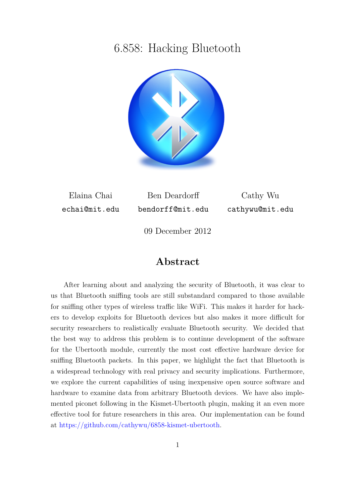## 6.858: Hacking Bluetooth



Elaina Chai echai@mit.edu

Ben Deardorff bendorff@mit.edu

Cathy Wu cathywu@mit.edu

09 December 2012

### **Abstract**

After learning about and analyzing the security of Bluetooth, it was clear to us that Bluetooth sniffing tools are still substandard compared to those available for sniffing other types of wireless traffic like WiFi. This makes it harder for hackers to develop exploits for Bluetooth devices but also makes it more difficult for security researchers to realistically evaluate Bluetooth security. We decided that the best way to address this problem is to continue development of the software for the Ubertooth module, currently the most cost effective hardware device for sniffing Bluetooth packets. In this paper, we highlight the fact that Bluetooth is a widespread technology with real privacy and security implications. Furthermore, we explore the current capabilities of using inexpensive open source software and hardware to examine data from arbitrary Bluetooth devices. We have also implemented piconet following in the Kismet-Ubertooth plugin, making it an even more effective tool for future researchers in this area. Our implementation can be found at [https://github.com/cathywu/6858-kismet-ubertooth.](https://github.com/cathywu/6858-kismet-ubertooth)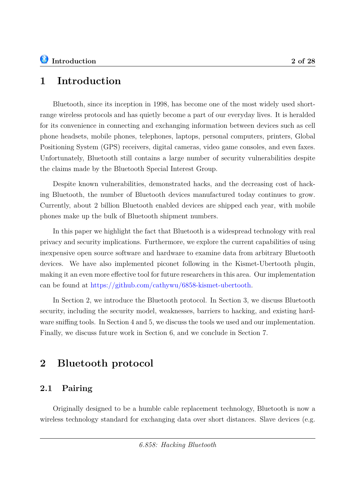## **1 Introduction**

Bluetooth, since its inception in 1998, has become one of the most widely used shortrange wireless protocols and has quietly become a part of our everyday lives. It is heralded for its convenience in connecting and exchanging information between devices such as cell phone headsets, mobile phones, telephones, laptops, personal computers, printers, Global Positioning System (GPS) receivers, digital cameras, video game consoles, and even faxes. Unfortunately, Bluetooth still contains a large number of security vulnerabilities despite the claims made by the Bluetooth Special Interest Group.

Despite known vulnerabilities, demonstrated hacks, and the decreasing cost of hacking Bluetooth, the number of Bluetooth devices manufactured today continues to grow. Currently, about 2 billion Bluetooth enabled devices are shipped each year, with mobile phones make up the bulk of Bluetooth shipment numbers.

In this paper we highlight the fact that Bluetooth is a widespread technology with real privacy and security implications. Furthermore, we explore the current capabilities of using inexpensive open source software and hardware to examine data from arbitrary Bluetooth devices. We have also implemented piconet following in the Kismet-Ubertooth plugin, making it an even more effective tool for future researchers in this area. Our implementation can be found at [https://github.com/cathywu/6858-kismet-ubertooth.](https://github.com/cathywu/6858-kismet-ubertooth)

In Section [2,](#page-1-0) we introduce the Bluetooth protocol. In Section [3,](#page-5-0) we discuss Bluetooth security, including the security model, weaknesses, barriers to hacking, and existing hardware sniffing tools. In Section [4](#page-15-0) and [5,](#page-20-0) we discuss the tools we used and our implementation. Finally, we discuss future work in Section [6,](#page-22-0) and we conclude in Section [7.](#page-24-0)

## <span id="page-1-0"></span>**2 Bluetooth protocol**

### **2.1 Pairing**

Originally designed to be a humble cable replacement technology, Bluetooth is now a wireless technology standard for exchanging data over short distances. Slave devices (e.g.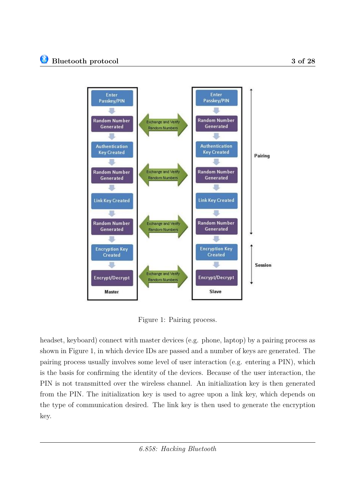

<span id="page-2-0"></span>Figure 1: Pairing process.

headset, keyboard) connect with master devices (e.g. phone, laptop) by a pairing process as shown in Figure [1,](#page-2-0) in which device IDs are passed and a number of keys are generated. The pairing process usually involves some level of user interaction (e.g. entering a PIN), which is the basis for confirming the identity of the devices. Because of the user interaction, the PIN is not transmitted over the wireless channel. An initialization key is then generated from the PIN. The initialization key is used to agree upon a link key, which depends on the type of communication desired. The link key is then used to generate the encryption key.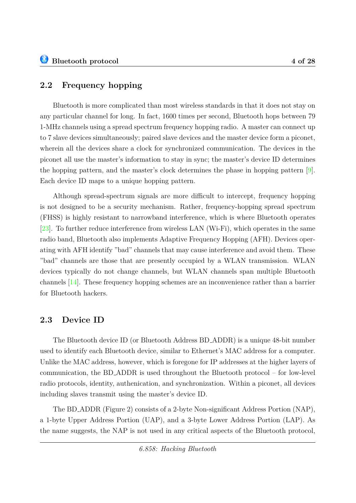### **2.2 Frequency hopping**

Bluetooth is more complicated than most wireless standards in that it does not stay on any particular channel for long. In fact, 1600 times per second, Bluetooth hops between 79 1-MHz channels using a spread spectrum frequency hopping radio. A master can connect up to 7 slave devices simultaneously; paired slave devices and the master device form a piconet, wherein all the devices share a clock for synchronized communication. The devices in the piconet all use the master's information to stay in sync; the master's device ID determines the hopping pattern, and the master's clock determines the phase in hopping pattern [\[9\]](#page-25-0). Each device ID maps to a unique hopping pattern.

Although spread-spectrum signals are more difficult to intercept, frequency hopping is not designed to be a security mechanism. Rather, frequency-hopping spread spectrum (FHSS) is highly resistant to narrowband interference, which is where Bluetooth operates [\[23\]](#page-26-0). To further reduce interference from wireless LAN (Wi-Fi), which operates in the same radio band, Bluetooth also implements Adaptive Frequency Hopping (AFH). Devices operating with AFH identify "bad" channels that may cause interference and avoid them. These "bad" channels are those that are presently occupied by a WLAN transmission. WLAN devices typically do not change channels, but WLAN channels span multiple Bluetooth channels [\[14\]](#page-25-1). These frequency hopping schemes are an inconvenience rather than a barrier for Bluetooth hackers.

### **2.3 Device ID**

The Bluetooth device ID (or Bluetooth Address BD ADDR) is a unique 48-bit number used to identify each Bluetooth device, similar to Ethernet's MAC address for a computer. Unlike the MAC address, however, which is foregone for IP addresses at the higher layers of communication, the BD ADDR is used throughout the Bluetooth protocol – for low-level radio protocols, identity, authenication, and synchronization. Within a piconet, all devices including slaves transmit using the master's device ID.

The BD ADDR (Figure [2\)](#page-4-0) consists of a 2-byte Non-significant Address Portion (NAP), a 1-byte Upper Address Portion (UAP), and a 3-byte Lower Address Portion (LAP). As the name suggests, the NAP is not used in any critical aspects of the Bluetooth protocol,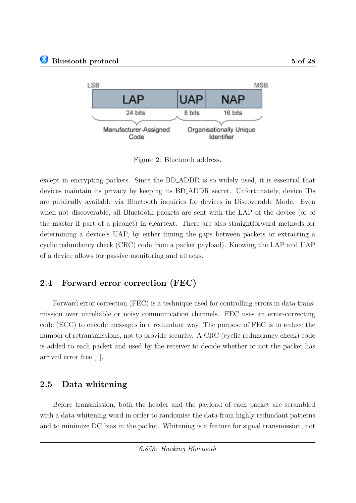

<span id="page-4-0"></span>Figure 2: Bluetooth address.

except in encrypting packets. Since the BD ADDR is so widely used, it is essential that devices maintain its privacy by keeping its BD ADDR secret. Unfortunately, device IDs are publically available via Bluetooth inquiries for devices in Discoverable Mode. Even when not discoverable, all Bluetooth packets are sent with the LAP of the device (or of the master if part of a piconet) in cleartext. There are also straightforward methods for determining a device's UAP, by either timing the gaps between packets or extracting a cyclic redundancy check (CRC) code from a packet payload). Knowing the LAP and UAP of a device allows for passive monitoring and attacks.

### **2.4 Forward error correction (FEC)**

Forward error correction (FEC) is a technique used for controlling errors in data transmission over unreliable or noisy communication channels. FEC uses an error-correcting code (ECC) to encode messages in a redundant way. The purpose of FEC is to reduce the number of retransmissions, not to provide security. A CRC (cyclic redundancy check) code is added to each packet and used by the receiver to decide whether or not the packet has arrived error free [\[1\]](#page-25-2).

### **2.5 Data whitening**

Before transmission, both the header and the payload of each packet are scrambled with a data whitening word in order to randomise the data from highly redundant patterns and to minimize DC bias in the packet. Whitening is a feature for signal transmission, not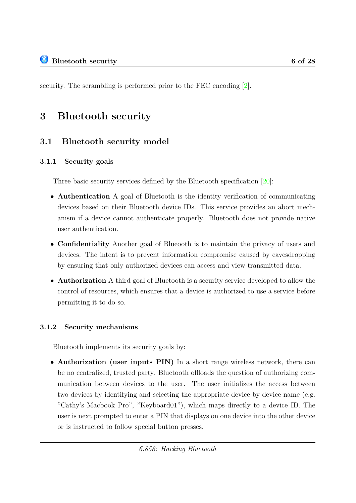security. The scrambling is performed prior to the FEC encoding [\[2\]](#page-25-3).

## <span id="page-5-0"></span>**3 Bluetooth security**

### **3.1 Bluetooth security model**

### **3.1.1 Security goals**

Three basic security services defined by the Bluetooth specification [\[20\]](#page-26-1):

- **Authentication** A goal of Bluetooth is the identity verification of communicating devices based on their Bluetooth device IDs. This service provides an abort mechanism if a device cannot authenticate properly. Bluetooth does not provide native user authentication.
- **Confidentiality** Another goal of Blueooth is to maintain the privacy of users and devices. The intent is to prevent information compromise caused by eavesdropping by ensuring that only authorized devices can access and view transmitted data.
- **Authorization** A third goal of Bluetooth is a security service developed to allow the control of resources, which ensures that a device is authorized to use a service before permitting it to do so.

#### **3.1.2 Security mechanisms**

Bluetooth implements its security goals by:

• **Authorization (user inputs PIN)** In a short range wireless network, there can be no centralized, trusted party. Bluetooth offloads the question of authorizing communication between devices to the user. The user initializes the access between two devices by identifying and selecting the appropriate device by device name (e.g. "Cathy's Macbook Pro", "Keyboard01"), which maps directly to a device ID. The user is next prompted to enter a PIN that displays on one device into the other device or is instructed to follow special button presses.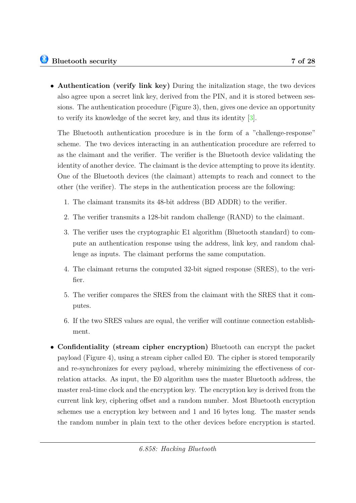• **Authentication (verify link key)** During the initalization stage, the two devices also agree upon a secret link key, derived from the PIN, and it is stored between sessions. The authentication procedure (Figure [3\)](#page-7-0), then, gives one device an opportunity to verify its knowledge of the secret key, and thus its identity [\[3\]](#page-25-4).

The Bluetooth authentication procedure is in the form of a "challenge-response" scheme. The two devices interacting in an authentication procedure are referred to as the claimant and the verifier. The verifier is the Bluetooth device validating the identity of another device. The claimant is the device attempting to prove its identity. One of the Bluetooth devices (the claimant) attempts to reach and connect to the other (the verifier). The steps in the authentication process are the following:

- 1. The claimant transmits its 48-bit address (BD ADDR) to the verifier.
- 2. The verifier transmits a 128-bit random challenge (RAND) to the claimant.
- 3. The verifier uses the cryptographic E1 algorithm (Bluetooth standard) to compute an authentication response using the address, link key, and random challenge as inputs. The claimant performs the same computation.
- 4. The claimant returns the computed 32-bit signed response (SRES), to the verifier.
- 5. The verifier compares the SRES from the claimant with the SRES that it computes.
- 6. If the two SRES values are equal, the verifier will continue connection establishment.
- **Confidentiality (stream cipher encryption)** Bluetooth can encrypt the packet payload (Figure [4\)](#page-8-0), using a stream cipher called E0. The cipher is stored temporarily and re-synchronizes for every payload, whereby minimizing the effectiveness of correlation attacks. As input, the E0 algorithm uses the master Bluetooth address, the master real-time clock and the encryption key. The encryption key is derived from the current link key, ciphering offset and a random number. Most Bluetooth encryption schemes use a encryption key between and 1 and 16 bytes long. The master sends the random number in plain text to the other devices before encryption is started.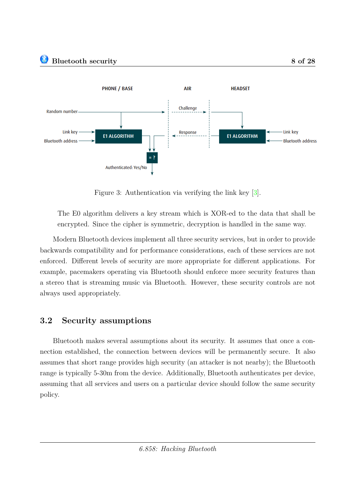

<span id="page-7-0"></span>Figure 3: Authentication via verifying the link key [\[3\]](#page-25-4).

The E0 algorithm delivers a key stream which is XOR-ed to the data that shall be encrypted. Since the cipher is symmetric, decryption is handled in the same way.

Modern Bluetooth devices implement all three security services, but in order to provide backwards compatibility and for performance considerations, each of these services are not enforced. Different levels of security are more appropriate for different applications. For example, pacemakers operating via Bluetooth should enforce more security features than a stereo that is streaming music via Bluetooth. However, these security controls are not always used appropriately.

### **3.2 Security assumptions**

Bluetooth makes several assumptions about its security. It assumes that once a connection established, the connection between devices will be permanently secure. It also assumes that short range provides high security (an attacker is not nearby); the Bluetooth range is typically 5-30m from the device. Additionally, Bluetooth authenticates per device, assuming that all services and users on a particular device should follow the same security policy.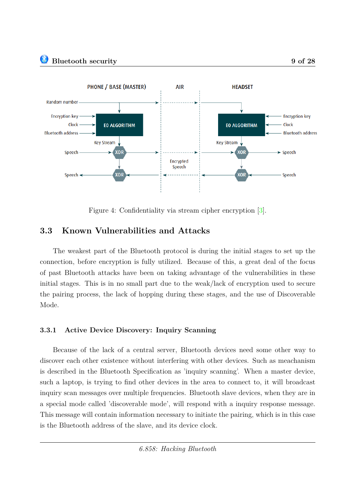



<span id="page-8-0"></span>Figure 4: Confidentiality via stream cipher encryption [\[3\]](#page-25-4).

### **3.3 Known Vulnerabilities and Attacks**

The weakest part of the Bluetooth protocol is during the initial stages to set up the connection, before encryption is fully utilized. Because of this, a great deal of the focus of past Bluetooth attacks have been on taking advantage of the vulnerabilities in these initial stages. This is in no small part due to the weak/lack of encryption used to secure the pairing process, the lack of hopping during these stages, and the use of Discoverable Mode.

#### **3.3.1 Active Device Discovery: Inquiry Scanning**

Because of the lack of a central server, Bluetooth devices need some other way to discover each other existence without interfering with other devices. Such as meachanism is described in the Bluetooth Specification as 'inquiry scanning'. When a master device, such a laptop, is trying to find other devices in the area to connect to, it will broadcast inquiry scan messages over multiple frequencies. Bluetooth slave devices, when they are in a special mode called 'discoverable mode', will respond with a inquiry response message. This message will contain information necessary to initiate the pairing, which is in this case is the Bluetooth address of the slave, and its device clock.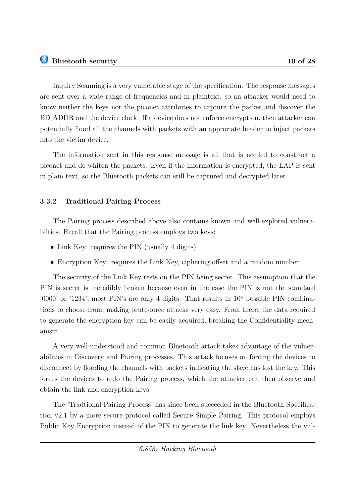into the victim device.

Inquiry Scanning is a very vulnerable stage of the specification. The response messages are sent over a wide range of frequencies and in plaintext, so an attacker would need to know neither the keys nor the piconet attributes to capture the packet and discover the BD ADDR and the device clock. If a device does not enforce encryption, then attacker can

The information sent in this response message is all that is needed to construct a piconet and de-whiten the packets. Even if the information is encrypted, the LAP is sent in plain text, so the Bluetooth packets can still be captured and decrypted later.

potentially flood all the channels with packets with an approriate header to inject packets

#### **3.3.2 Traditional Pairing Process**

The Pairing process described above also contains known and well-explored vulnerabilties. Recall that the Pairing process employs two keys:

- Link Key: requires the PIN (usually 4 digits)
- Encryption Key: requires the Link Key, ciphering offset and a random number

The security of the Link Key rests on the PIN being secret. This assumption that the PIN is secret is incredibly broken because even in the case the PIN is not the standard '0000' or '1234', most PIN's are only 4 digits. That results in  $10<sup>4</sup>$  possible PIN combinations to choose from, making brute-force attacks very easy. From there, the data required to generate the encryption key can be easily acquired, breaking the Confidentiality mechanism.

A very well-understood and common Bluetooth attack takes advantage of the vulnerabilities in Discovery and Pairing processes. This attack focuses on forcing the devices to disconnect by flooding the channels with packets indicating the slave has lost the key. This forces the devices to redo the Pairing process, which the attacker can then observe and obtain the link and encryption keys.

The 'Tradtional Pairing Process' has since been succeeded in the Bluetooth Specification v2.1 by a more secure protocol called Secure Simple Pairing. This protocol employs Public Key Encryption instead of the PIN to generate the link key. Nevertheless the vul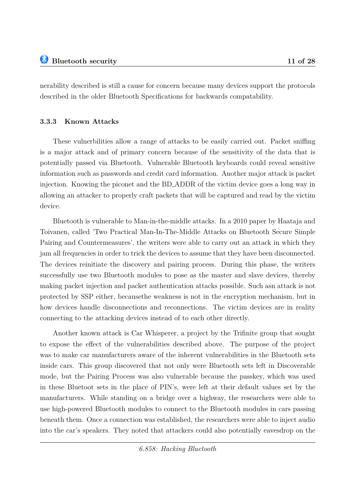nerability described is still a cause for concern because many devices support the protocols described in the older Bluetooth Specifications for backwards compatability.

#### **3.3.3 Known Attacks**

These vulnerbilities allow a range of attacks to be easily carried out. Packet sniffing is a major attack and of primary concern because of the sensitivity of the data that is potentially passed via Bluetooth. Vulnerable Bluetooth keyboards could reveal sensitive information such as passwords and credit card information. Another major attack is packet injection. Knowing the piconet and the BD ADDR of the victim device goes a long way in allowing an attacker to properly craft packets that will be captured and read by the victim device.

Bluetooth is vulnerable to Man-in-the-middle attacks. In a 2010 paper by Haataja and Toivanen, called 'Two Practical Man-In-The-Middle Attacks on Bluetooth Secure Simple Pairing and Countermeasures', the writers were able to carry out an attack in which they jam all frequencies in order to trick the devices to assume that they have been disconnected. The devices reinitiate the discovery and pairing process. During this phase, the writers successfully use two Bluetooth modules to pose as the master and slave devices, thereby making packet injection and packet authentication attacks possible. Such asn attack is not protected by SSP either, becausethe weakness is not in the encryption mechanism, but in how devices handle disconnections and reconnections. The victim devices are in reality connecting to the attacking devices instead of to each other directly.

Another known attack is Car Whisperer, a project by the Trifinite group that sought to expose the effect of the vulnerabilities described above. The purpose of the project was to make car manufacturers aware of the inherent vulnerabilities in the Bluetooth sets inside cars. This group discovered that not only were Bluetooth sets left in Discoverable mode, but the Pairing Process was also vulnerable because the passkey, which was used in these Bluetoot sets in the place of PIN's, were left at their default values set by the manufacturers. While standing on a bridge over a highway, the researchers were able to use high-powered Bluetooth modules to connect to the Bluetooth modules in cars passing beneath them. Once a connection was established, the researchers were able to inject audio into the car's speakers. They noted that attackers could also potentially eavesdrop on the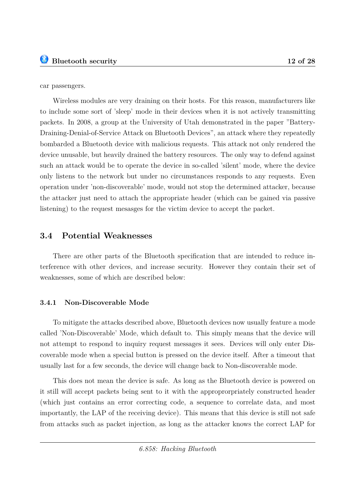car passengers.

Wireless modules are very draining on their hosts. For this reason, manufacturers like to include some sort of 'sleep' mode in their devices when it is not actively transmitting packets. In 2008, a group at the University of Utah demonstrated in the paper "Battery-Draining-Denial-of-Service Attack on Bluetooth Devices", an attack where they repeatedly bombarded a Bluetooth device with malicious requests. This attack not only rendered the device unusable, but heavily drained the battery resources. The only way to defend against such an attack would be to operate the device in so-called 'silent' mode, where the device only listens to the network but under no circumstances responds to any requests. Even operation under 'non-discoverable' mode, would not stop the determined attacker, because the attacker just need to attach the appropriate header (which can be gained via passive listening) to the request mesasges for the victim device to accept the packet.

#### **3.4 Potential Weaknesses**

There are other parts of the Bluetooth specification that are intended to reduce interference with other devices, and increase security. However they contain their set of weaknesses, some of which are described below:

#### **3.4.1 Non-Discoverable Mode**

To mitigate the attacks described above, Bluetooth devices now usually feature a mode called 'Non-Discoverable' Mode, which default to. This simply means that the device will not attempt to respond to inquiry request messages it sees. Devices will only enter Discoverable mode when a special button is pressed on the device itself. After a timeout that usually last for a few seconds, the device will change back to Non-discoverable mode.

This does not mean the device is safe. As long as the Bluetooth device is powered on it still will accept packets being sent to it with the approprorpriately constructed header (which just contains an error correcting code, a sequence to correlate data, and most importantly, the LAP of the receiving device). This means that this device is still not safe from attacks such as packet injection, as long as the attacker knows the correct LAP for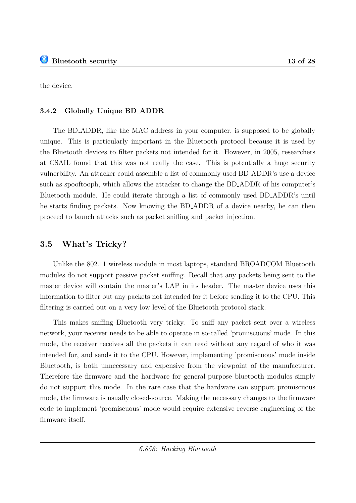the device.

#### **3.4.2 Globally Unique BD ADDR**

The BD ADDR, like the MAC address in your computer, is supposed to be globally unique. This is particularly important in the Bluetooth protocol because it is used by the Bluetooth devices to filter packets not intended for it. However, in 2005, researchers at CSAIL found that this was not really the case. This is potentially a huge security vulnerbility. An attacker could assemble a list of commonly used BD ADDR's use a device such as spooftooph, which allows the attacker to change the BD ADDR of his computer's Bluetooth module. He could iterate through a list of commonly used BD ADDR's until he starts finding packets. Now knowing the BD ADDR of a device nearby, he can then proceed to launch attacks such as packet sniffing and packet injection.

### **3.5 What's Tricky?**

Unlike the 802.11 wireless module in most laptops, standard BROADCOM Bluetooth modules do not support passive packet sniffing. Recall that any packets being sent to the master device will contain the master's LAP in its header. The master device uses this information to filter out any packets not intended for it before sending it to the CPU. This filtering is carried out on a very low level of the Bluetooth protocol stack.

This makes sniffing Bluetooth very tricky. To sniff any packet sent over a wireless network, your receiver needs to be able to operate in so-called 'promiscuous' mode. In this mode, the receiver receives all the packets it can read without any regard of who it was intended for, and sends it to the CPU. However, implementing 'promiscuous' mode inside Bluetooth, is both unnecessary and expensive from the viewpoint of the manufacturer. Therefore the firmware and the hardware for general-purpose bluetooth modules simply do not support this mode. In the rare case that the hardware can support promiscuous mode, the firmware is usually closed-source. Making the necessary changes to the firmware code to implement 'promiscuous' mode would require extensive reverse engineering of the firmware itself.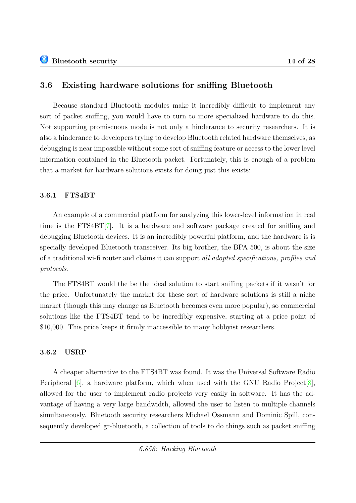### **3.6 Existing hardware solutions for sniffing Bluetooth**

Because standard Bluetooth modules make it incredibly difficult to implement any sort of packet sniffing, you would have to turn to more specialized hardware to do this. Not supporting promiscuous mode is not only a hinderance to security researchers. It is also a hinderance to developers trying to develop Bluetooth related hardware themselves, as debugging is near impossible without some sort of sniffing feature or access to the lower level information contained in the Bluetooth packet. Fortunately, this is enough of a problem that a market for hardware solutions exists for doing just this exists:

#### **3.6.1 FTS4BT**

An example of a commercial platform for analyzing this lower-level information in real time is the FTS4BT[\[7\]](#page-25-5). It is a hardware and software package created for sniffing and debugging Bluetooth devices. It is an incredibly powerful platform, and the hardware is is specially developed Bluetooth transceiver. Its big brother, the BPA 500, is about the size of a traditional wi-fi router and claims it can support *all adopted specifications, profiles and protocols*.

The FTS4BT would the be the ideal solution to start sniffing packets if it wasn't for the price. Unfortunately the market for these sort of hardware solutions is still a niche market (though this may change as Bluetooth becomes even more popular), so commercial solutions like the FTS4BT tend to be incredibly expensive, starting at a price point of \$10,000. This price keeps it firmly inaccessible to many hobbyist researchers.

#### **3.6.2 USRP**

A cheaper alternative to the FTS4BT was found. It was the Universal Software Radio Peripheral  $[6]$ , a hardware platform, which when used with the GNU Radio Project  $[8]$ , allowed for the user to implement radio projects very easily in software. It has the advantage of having a very large bandwidth, allowed the user to listen to multiple channels simultaneously. Bluetooth security researchers Michael Ossmann and Dominic Spill, consequently developed gr-bluetooth, a collection of tools to do things such as packet sniffing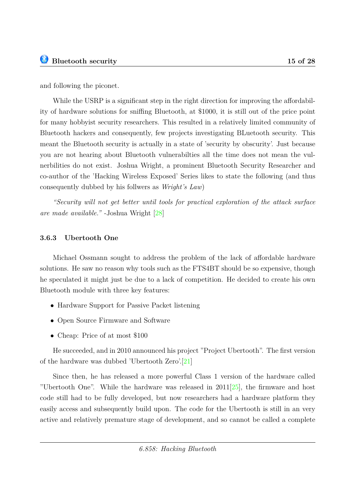and following the piconet.

While the USRP is a significant step in the right direction for improving the affordability of hardware solutions for sniffing Bluetooth, at \$1000, it is still out of the price point for many hobbyist security researchers. This resulted in a relatively limited community of Bluetooth hackers and consequently, few projects investigating BLuetooth security. This meant the Bluetooth security is actually in a state of 'security by obscurity'. Just because you are not hearing about Bluetooth vulnerabilties all the time does not mean the vulnerbilities do not exist. Joshua Wright, a prominent Bluetooth Security Researcher and co-author of the 'Hacking Wireless Exposed' Series likes to state the following (and thus consequently dubbed by his follwers as *Wright's Law*)

*"Security will not get better until tools for practical exploration of the attack surface are made available."* -Joshua Wright [\[28\]](#page-27-1)

### **3.6.3 Ubertooth One**

Michael Ossmann sought to address the problem of the lack of affordable hardware solutions. He saw no reason why tools such as the FTS4BT should be so expensive, though he speculated it might just be due to a lack of competition. He decided to create his own Bluetooth module with three key features:

- Hardware Support for Passive Packet listening
- Open Source Firmware and Software
- Cheap: Price of at most \$100

He succeeded, and in 2010 announced his project "Project Ubertooth". The first version of the hardware was dubbed 'Ubertooth Zero'.[\[21\]](#page-26-2)

Since then, he has released a more powerful Class 1 version of the hardware called "Ubertooth One". While the hardware was released in 2011[\[25\]](#page-26-3), the firmware and host code still had to be fully developed, but now researchers had a hardware platform they easily access and subsequently build upon. The code for the Ubertooth is still in an very active and relatively premature stage of development, and so cannot be called a complete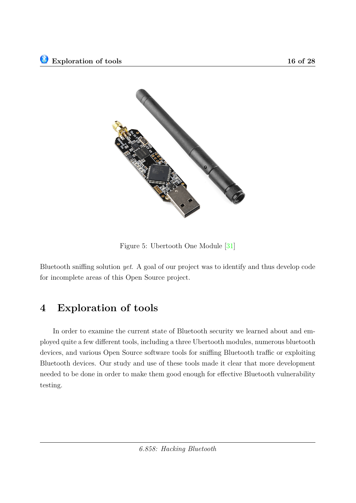

Figure 5: Ubertooth One Module [\[31\]](#page-27-2)

Bluetooth sniffing solution *yet*. A goal of our project was to identify and thus develop code for incomplete areas of this Open Source project.

## <span id="page-15-0"></span>**4 Exploration of tools**

In order to examine the current state of Bluetooth security we learned about and employed quite a few different tools, including a three Ubertooth modules, numerous bluetooth devices, and various Open Source software tools for sniffing Bluetooth traffic or exploiting Bluetooth devices. Our study and use of these tools made it clear that more development needed to be done in order to make them good enough for effective Bluetooth vulnerability testing.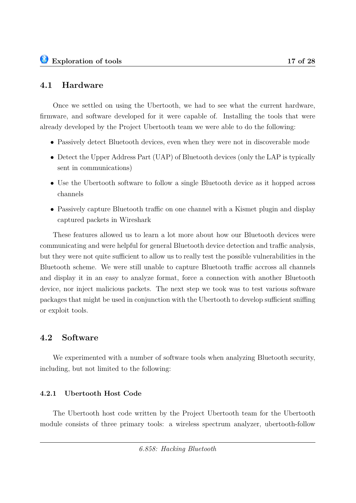Once we settled on using the Ubertooth, we had to see what the current hardware, firmware, and software developed for it were capable of. Installing the tools that were already developed by the Project Ubertooth team we were able to do the following:

- Passively detect Bluetooth devices, even when they were not in discoverable mode
- Detect the Upper Address Part (UAP) of Bluetooth devices (only the LAP is typically sent in communications)
- Use the Ubertooth software to follow a single Bluetooth device as it hopped across channels
- Passively capture Bluetooth traffic on one channel with a Kismet plugin and display captured packets in Wireshark

These features allowed us to learn a lot more about how our Bluetooth devices were communicating and were helpful for general Bluetooth device detection and traffic analysis, but they were not quite sufficient to allow us to really test the possible vulnerabilities in the Bluetooth scheme. We were still unable to capture Bluetooth traffic accross all channels and display it in an easy to analyze format, force a connection with another Bluetooth device, nor inject malicious packets. The next step we took was to test various software packages that might be used in conjunction with the Ubertooth to develop sufficient sniffing or exploit tools.

### **4.2 Software**

We experimented with a number of software tools when analyzing Bluetooth security, including, but not limited to the following:

### **4.2.1 Ubertooth Host Code**

The Ubertooth host code written by the Project Ubertooth team for the Ubertooth module consists of three primary tools: a wireless spectrum analyzer, ubertooth-follow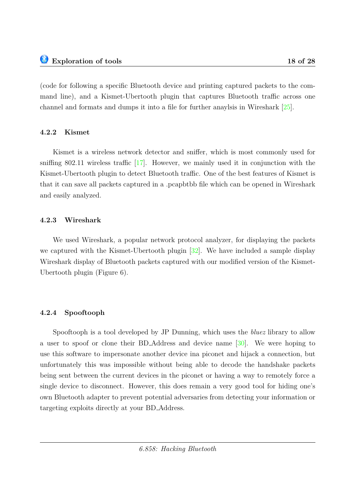(code for following a specific Bluetooth device and printing captured packets to the command line), and a Kismet-Ubertooth plugin that captures Bluetooth traffic across one channel and formats and dumps it into a file for further anaylsis in Wireshark [\[25\]](#page-26-3).

#### **4.2.2 Kismet**

Kismet is a wireless network detector and sniffer, which is most commonly used for sniffing 802.11 wireless traffic [\[17\]](#page-26-4). However, we mainly used it in conjunction with the Kismet-Ubertooth plugin to detect Bluetooth traffic. One of the best features of Kismet is that it can save all packets captured in a .pcapbtbb file which can be opened in Wireshark and easily analyzed.

#### **4.2.3 Wireshark**

We used Wireshark, a popular network protocol analyzer, for displaying the packets we captured with the Kismet-Ubertooth plugin [\[32\]](#page-27-3). We have included a sample display Wireshark display of Bluetooth packets captured with our modified version of the Kismet-Ubertooth plugin (Figure [6\)](#page-18-0).

#### **4.2.4 Spooftooph**

Spooftooph is a tool developed by JP Dunning, which uses the *bluez* library to allow a user to spoof or clone their BD Address and device name [\[30\]](#page-27-4). We were hoping to use this software to impersonate another device ina piconet and hijack a connection, but unfortunately this was impossible without being able to decode the handshake packets being sent between the current devices in the piconet or having a way to remotely force a single device to disconnect. However, this does remain a very good tool for hiding one's own Bluetooth adapter to prevent potential adversaries from detecting your information or targeting exploits directly at your BD Address.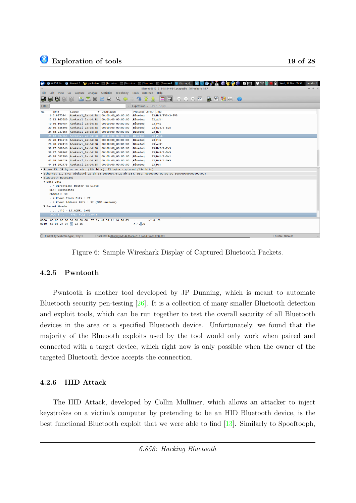| 6.858 Fin • Kismet P • 10 packetso • [Termina • [Termina • ] [Termina • ] [Terminal • [Terminal • [Terminal • [Terminal • [Terminal • [Terminal • [Terminal • [Terminal • [1] |                                                         | Wed. 12 Dec 09:59<br><b>SCP</b><br><b>BSE</b><br>$F^{\prime\prime}$ | bendorff |
|-------------------------------------------------------------------------------------------------------------------------------------------------------------------------------|---------------------------------------------------------|---------------------------------------------------------------------|----------|
| Kismet-20121211-18-34-06-1.pcapbtbb [Wireshark 1.6.7]<br>$- + x$                                                                                                              |                                                         |                                                                     |          |
| Edit View Go Capture Analyze Statistics Telephony<br>Tools Internals Help<br>File                                                                                             |                                                         |                                                                     |          |
| <b>D</b><br>$\sqrt{2}$<br>C<br>邕<br>Q                                                                                                                                         | 吞                                                       | <b>BB</b> ● ● ● ™ ■ ■ ■ ● ● ●                                       |          |
| Filter:                                                                                                                                                                       | Expression Clear Apply                                  |                                                                     |          |
| <b>v</b> Destination<br>Time<br>Source<br>No.                                                                                                                                 | Protocol Length Info                                    |                                                                     |          |
| 6 6.997584<br>AbekasVi 2a:d4:38<br>$00:00:00_00:00:00:00$                                                                                                                     | <b>Bluetoo</b><br>23 HV3/EV3/3-EV3                      |                                                                     |          |
| 15 13.365689 AbekasVi_2a:d4:38<br>$00:00:00_000:00:00$                                                                                                                        | <b>Bluetoo</b><br><b>23 AUX1</b>                        |                                                                     |          |
| 19 16.100754 AbekasVi 2a:d4:38<br>00:00:00 00:00:00                                                                                                                           | 23 FHS<br><b>Bluetoo</b>                                |                                                                     |          |
| 20:16.346495 AbekasVi 2a:d4:38<br>00:00:00 00:00:00                                                                                                                           | <b>Bluetoo</b><br>23 EV5/3-EV5                          |                                                                     |          |
| 24 18.247851 AbekasVi_2a:d4:38<br>$00:00:00_00:00:00:00$                                                                                                                      | <b>Bluetoo</b><br>23 HV1                                |                                                                     |          |
| 25 18.507865 AbekasVi 2a:d4:38                                                                                                                                                | Bluetoo<br>23 POLL                                      |                                                                     |          |
| 27 20.194918 AbekasVi 2a:d4:38<br>00:00:00 00:00:00                                                                                                                           | 23 FHS<br><b>Bluetoo</b>                                |                                                                     |          |
| 28 20.792410 AbekasVi 2a:d4:38<br>$00:00:00_00:00:00:00$                                                                                                                      | <b>23 AUX1</b><br><b>Bluetoo</b>                        |                                                                     |          |
| 38 27.608546 AbekasVi_2a:d4:38<br>$00:00:00\_00:00:00$                                                                                                                        | 23 HV2/2-EV3<br><b>Bluetoo</b>                          |                                                                     |          |
| 39 27.608962 AbekasVi 2a:d4:38<br>00:00:00 00:00:00                                                                                                                           | 23 DH5/3-DH5<br><b>Bluetoo</b>                          |                                                                     |          |
| 40 28.082796 AbekasVi 2a:d4:38<br>00:00:00 00:00:00                                                                                                                           | <b>Bluetoo</b><br>23 DH1/2-DH1                          |                                                                     |          |
| 41 29.568023 AbekasVi_2a:d4:38<br>00:00:00_00:00:00                                                                                                                           | <b>Bluetoo</b><br>23 DM5/2-DH5                          |                                                                     |          |
| 44 34.292475 AbekasVi 2a:d4:38<br>00:00:00 00:00:00                                                                                                                           | 23 DM1<br><b>Bluetoo</b>                                |                                                                     |          |
| Frame 25: 23 bytes on wire (184 bits), 23 bytes captured (184 bits)                                                                                                           |                                                         |                                                                     |          |
| ▶ Ethernet II, Src: AbekasVi 2a:d4:38 (00:00:76:2a:d4:38), Dst: 00:00:00 00:00:00 (00:00:00:00:00:00)                                                                         |                                                         |                                                                     |          |
| <b>V</b> Bluetooth Baseband                                                                                                                                                   |                                                         |                                                                     |          |
| ▼ Meta Data                                                                                                                                                                   |                                                         |                                                                     |          |
| . = Direction: Master to Slave                                                                                                                                                |                                                         |                                                                     |          |
| CLK: 0x06588556                                                                                                                                                               |                                                         |                                                                     |          |
| Channel: 39                                                                                                                                                                   |                                                         |                                                                     |          |
| . = Known Clock Bits : 27                                                                                                                                                     |                                                         |                                                                     |          |
| . = Known Address Bits : 32 (NAP unknown)                                                                                                                                     |                                                         |                                                                     |          |
| ▼ Packet Header                                                                                                                                                               |                                                         |                                                                     |          |
| $ 110 = LT ADDR: 0x06$                                                                                                                                                        |                                                         |                                                                     |          |
| $.000 1 = TYPE: POLL (0x01)$                                                                                                                                                  |                                                         |                                                                     |          |
| 00 00 00 00 00 00 00 00 76 2a d4 38 ff f0 56 85<br>$$ $v*.8V.$<br>0000                                                                                                        |                                                         |                                                                     |          |
| 0010 58 06 27 01 0e 03 55                                                                                                                                                     | $X, Y, \ldots$ . U                                      |                                                                     |          |
|                                                                                                                                                                               |                                                         |                                                                     |          |
|                                                                                                                                                                               |                                                         |                                                                     |          |
| ○ Packet Type (btbb.type), 1 byte                                                                                                                                             | Packets: 44 Displayed: 44 Marked: 0 Load time: 0:00.001 | Profile: Default                                                    |          |

<span id="page-18-0"></span>Figure 6: Sample Wireshark Display of Captured Bluetooth Packets.

#### **4.2.5 Pwntooth**

Pwntooth is another tool developed by JP Dunning, which is meant to automate Bluetooth security pen-testing [\[26\]](#page-26-5). It is a collection of many smaller Bluetooth detection and exploit tools, which can be run together to test the overall security of all Bluetooth devices in the area or a specified Bluetooth device. Unfortunately, we found that the majority of the Blueooth exploits used by the tool would only work when paired and connected with a target device, which right now is only possible when the owner of the targeted Bluetooth device accepts the connection.

#### **4.2.6 HID Attack**

The HID Attack, developed by Collin Mulliner, which allows an attacker to inject keystrokes on a victim's computer by pretending to be an HID Bluetooth device, is the best functional Bluetooth exploit that we were able to find [\[13\]](#page-25-8). Similarly to Spooftooph,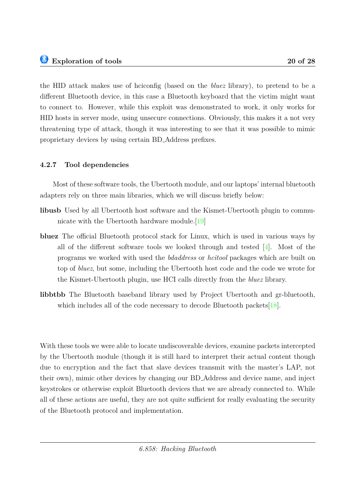the HID attack makes use of hciconfig (based on the *bluez* library), to pretend to be a different Bluetooth device, in this case a Bluetooth keyboard that the victim might want to connect to. However, while this exploit was demonstrated to work, it only works for HID hosts in server mode, using unsecure connections. Obviously, this makes it a not very threatening type of attack, though it was interesting to see that it was possible to mimic proprietary devices by using certain BD Address prefixes.

### **4.2.7 Tool dependencies**

Most of these software tools, the Ubertooth module, and our laptops' internal bluetooth adapters rely on three main libraries, which we will discuss briefly below:

- **libusb** Used by all Ubertooth host software and the Kismet-Ubertooth plugin to communicate with the Ubertooth hardware module.[\[19\]](#page-26-6)
- **bluez** The official Bluetooth protocol stack for Linux, which is used in various ways by all of the different software tools we looked through and tested [\[4\]](#page-25-9). Most of the programs we worked with used the *bdaddress* or *hcitool* packages which are built on top of *bluez*, but some, including the Ubertooth host code and the code we wrote for the Kismet-Ubertooth plugin, use HCI calls directly from the *bluez* library.
- **libbtbb** The Bluetooth baseband library used by Project Ubertooth and gr-bluetooth, which includes all of the code necessary to decode Bluetooth packets  $[18]$ .

With these tools we were able to locate undiscoverable devices, examine packets intercepted by the Ubertooth module (though it is still hard to interpret their actual content though due to encryption and the fact that slave devices transmit with the master's LAP, not their own), mimic other devices by changing our BD Address and device name, and inject keystrokes or otherwise exploit Bluetooth devices that we are already connected to. While all of these actions are useful, they are not quite sufficient for really evaluating the security of the Bluetooth protocol and implementation.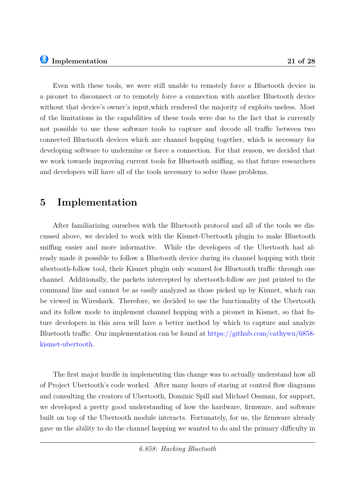Even with these tools, we were still unable to remotely force a Bluetooth device in a piconet to disconnect or to remotely force a connection with another Bluetooth device without that device's owner's input,which rendered the majority of exploits useless. Most of the limitations in the capabilities of these tools were due to the fact that is currently not possible to use these software tools to capture and decode all traffic between two connected Bluetooth devices which are channel hopping together, which is necessary for developing software to undermine or force a connection. For that reason, we decided that we work towards improving current tools for Bluetooth sniffing, so that future researchers and developers will have all of the tools necessary to solve those problems.

## <span id="page-20-0"></span>**5 Implementation**

After familiarizing ourselves with the Bluetooth protocol and all of the tools we discussed above, we decided to work with the Kismet-Ubertooth plugin to make Bluetooth sniffing easier and more informative. While the developers of the Ubertooth had already made it possible to follow a Bluetooth device during its channel hopping with their ubertooth-follow tool, their Kismet plugin only scanned for Bluetooth traffic through one channel. Additionally, the packets intercepted by ubertooth-follow are just printed to the command line and cannot be as easily analyzed as those picked up by Kismet, which can be viewed in Wireshark. Therefore, we decided to use the functionality of the Ubertooth and its follow mode to implement channel hopping with a piconet in Kismet, so that future developers in this area will have a better method by which to capture and analyze Bluetooth traffic. Our implementation can be found at [https://github.com/cathywu/6858](https://github.com/cathywu/6858-kismet-ubertooth) [kismet-ubertooth.](https://github.com/cathywu/6858-kismet-ubertooth)

The first major hurdle in implementing this change was to actually understand how all of Project Ubertooth's code worked. After many hours of staring at control flow diagrams and consulting the creators of Ubertooth, Dominic Spill and Michael Ossman, for support, we developed a pretty good understanding of how the hardware, firmware, and software built on top of the Ubertooth module interacts. Fortunately, for us, the firmware already gave us the ability to do the channel hopping we wanted to do and the primary difficulty in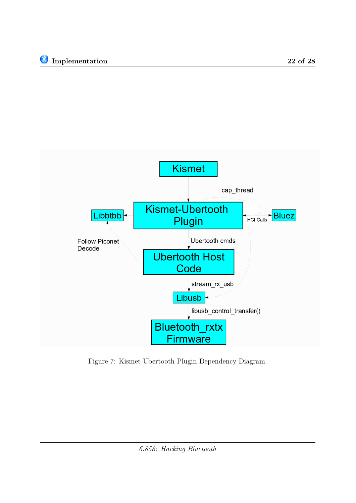

<span id="page-21-0"></span>Figure 7: Kismet-Ubertooth Plugin Dependency Diagram.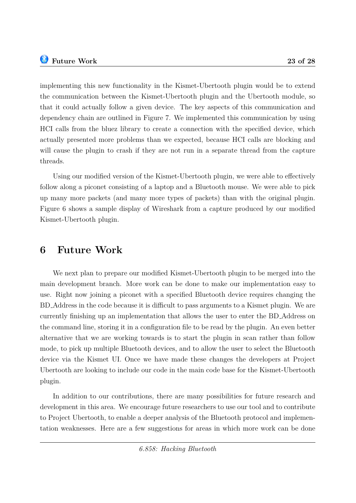implementing this new functionality in the Kismet-Ubertooth plugin would be to extend the communication between the Kismet-Ubertooth plugin and the Ubertooth module, so that it could actually follow a given device. The key aspects of this communication and dependency chain are outlined in Figure [7.](#page-21-0) We implemented this communication by using HCI calls from the bluez library to create a connection with the specified device, which actually presented more problems than we expected, because HCI calls are blocking and will cause the plugin to crash if they are not run in a separate thread from the capture threads.

Using our modified version of the Kismet-Ubertooth plugin, we were able to effectively follow along a piconet consisting of a laptop and a Bluetooth mouse. We were able to pick up many more packets (and many more types of packets) than with the original plugin. Figure [6](#page-18-0) shows a sample display of Wireshark from a capture produced by our modified Kismet-Ubertooth plugin.

## <span id="page-22-0"></span>**6 Future Work**

We next plan to prepare our modified Kismet-Ubertooth plugin to be merged into the main development branch. More work can be done to make our implementation easy to use. Right now joining a piconet with a specified Bluetooth device requires changing the BD Address in the code because it is difficult to pass arguments to a Kismet plugin. We are currently finishing up an implementation that allows the user to enter the BD Address on the command line, storing it in a configuration file to be read by the plugin. An even better alternative that we are working towards is to start the plugin in scan rather than follow mode, to pick up multiple Bluetooth devices, and to allow the user to select the Bluetooth device via the Kismet UI. Once we have made these changes the developers at Project Ubertooth are looking to include our code in the main code base for the Kismet-Ubertooth plugin.

In addition to our contributions, there are many possibilities for future research and development in this area. We encourage future researchers to use our tool and to contribute to Project Ubertooth, to enable a deeper analysis of the Bluetooth protocol and implementation weaknesses. Here are a few suggestions for areas in which more work can be done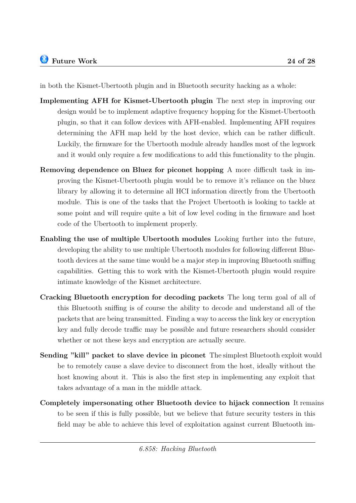in both the Kismet-Ubertooth plugin and in Bluetooth security hacking as a whole:

- **Implementing AFH for Kismet-Ubertooth plugin** The next step in improving our design would be to implement adaptive frequency hopping for the Kismet-Ubertooth plugin, so that it can follow devices with AFH-enabled. Implementing AFH requires determining the AFH map held by the host device, which can be rather difficult. Luckily, the firmware for the Ubertooth module already handles most of the legwork and it would only require a few modifications to add this functionality to the plugin.
- **Removing dependence on Bluez for piconet hopping** A more difficult task in improving the Kismet-Ubertooth plugin would be to remove it's reliance on the bluez library by allowing it to determine all HCI information directly from the Ubertooth module. This is one of the tasks that the Project Ubertooth is looking to tackle at some point and will require quite a bit of low level coding in the firmware and host code of the Ubertooth to implement properly.
- **Enabling the use of multiple Ubertooth modules** Looking further into the future, developing the ability to use multiple Ubertooth modules for following different Bluetooth devices at the same time would be a major step in improving Bluetooth sniffing capabilities. Getting this to work with the Kismet-Ubertooth plugin would require intimate knowledge of the Kismet architecture.
- **Cracking Bluetooth encryption for decoding packets** The long term goal of all of this Bluetooth sniffing is of course the ability to decode and understand all of the packets that are being transmitted. Finding a way to access the link key or encryption key and fully decode traffic may be possible and future researchers should consider whether or not these keys and encryption are actually secure.
- **Sending "kill" packet to slave device in piconet** The simplest Bluetooth exploit would be to remotely cause a slave device to disconnect from the host, ideally without the host knowing about it. This is also the first step in implementing any exploit that takes advantage of a man in the middle attack.
- **Completely impersonating other Bluetooth device to hijack connection** It remains to be seen if this is fully possible, but we believe that future security testers in this field may be able to achieve this level of exploitation against current Bluetooth im-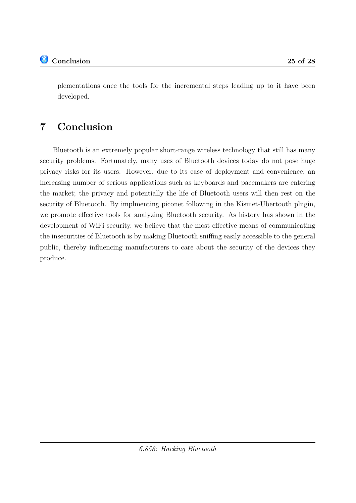**Conclusion 25 of [28](#page-27-0)**

plementations once the tools for the incremental steps leading up to it have been developed.

# <span id="page-24-0"></span>**7 Conclusion**

Bluetooth is an extremely popular short-range wireless technology that still has many security problems. Fortunately, many uses of Bluetooth devices today do not pose huge privacy risks for its users. However, due to its ease of deployment and convenience, an increasing number of serious applications such as keyboards and pacemakers are entering the market; the privacy and potentially the life of Bluetooth users will then rest on the security of Bluetooth. By implmenting piconet following in the Kismet-Ubertooth plugin, we promote effective tools for analyzing Bluetooth security. As history has shown in the development of WiFi security, we believe that the most effective means of communicating the insecurities of Bluetooth is by making Bluetooth sniffing easily accessible to the general public, thereby influencing manufacturers to care about the security of the devices they produce.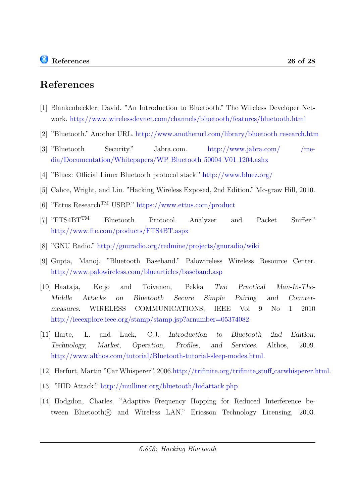- <span id="page-25-2"></span>[1] Blankenbeckler, David. "An Introduction to Bluetooth." The Wireless Developer Network. <http://www.wirelessdevnet.com/channels/bluetooth/features/bluetooth.html>
- <span id="page-25-3"></span>[2] "Bluetooth." Another URL. [http://www.anotherurl.com/library/bluetooth](http://www.anotherurl.com/library/bluetooth_research.htm) research.htm
- <span id="page-25-4"></span>[3] "Bluetooth Security." Jabra.com. [http://www.jabra.com/ /me](http://www.jabra.com/~/media/Documentation/Whitepapers/WP_Bluetooth_50004_V01_1204.ashx)[dia/Documentation/Whitepapers/WP](http://www.jabra.com/~/media/Documentation/Whitepapers/WP_Bluetooth_50004_V01_1204.ashx) Bluetooth 50004 V01 1204.ashx
- <span id="page-25-9"></span>[4] "Bluez: Official Linux Bluetooth protocol stack." <http://www.bluez.org/>
- [5] Cahce, Wright, and Liu. "Hacking Wireless Exposed, 2nd Edition." Mc-graw Hill, 2010.
- <span id="page-25-6"></span>[6] "Ettus ResearchTM USRP." <https://www.ettus.com/product>
- <span id="page-25-5"></span>[7] "FTS4BTTM Bluetooth Protocol Analyzer and Packet Sniffer." <http://www.fte.com/products/FTS4BT.aspx>
- <span id="page-25-7"></span>[8] "GNU Radio." <http://gnuradio.org/redmine/projects/gnuradio/wiki>
- <span id="page-25-0"></span>[9] Gupta, Manoj. "Bluetooth Baseband." Palowireless Wireless Resource Center. <http://www.palowireless.com/bluearticles/baseband.asp>
- [10] Haataja, Keijo and Toivanen, Pekka Two Practical Man-In-The-Middle Attacks on Bluetooth Secure Simple Pairing and Countermeasures. WIRELESS COMMUNICATIONS, IEEE Vol 9 No 1 2010 [http://ieeexplore.ieee.org/stamp/stamp.jsp?arnumber=05374082.](http://ieeexplore.ieee.org/stamp/stamp.jsp?arnumber=05374082)
- [11] Harte, L. and Luck, C.J. Introduction to Bluetooth 2nd Edition; Technology, Market, Operation, Profiles, and Services. Althos, 2009. [http://www.althos.com/tutorial/Bluetooth-tutorial-sleep-modes.html.](http://www.althos.com/tutorial/Bluetooth-tutorial-sleep-modes.html)
- <span id="page-25-8"></span>[12] Herfurt, Martin "Car Whisperer". 2006[.http://trifinite.org/trifinite](http://trifinite.org/trifinite_stuff_carwhisperer.html) stuff carwhisperer.html.
- [13] "HID Attack." <http://mulliner.org/bluetooth/hidattack.php>
- <span id="page-25-1"></span>[14] Hodgdon, Charles. "Adaptive Frequency Hopping for Reduced Interference between Bluetooth<sub>(R)</sub> and Wireless LAN." Ericsson Technology Licensing, 2003.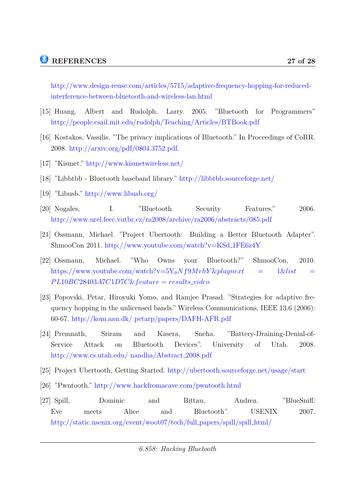[http://www.design-reuse.com/articles/5715/adaptive-frequency-hopping-for-reduced](http://www.design-reuse.com/articles/5715/adaptive-frequency-hopping-for-reduced-interference-between-bluetooth-and-wireless-lan.html)[interference-between-bluetooth-and-wireless-lan.html](http://www.design-reuse.com/articles/5715/adaptive-frequency-hopping-for-reduced-interference-between-bluetooth-and-wireless-lan.html)

- [15] Huang, Albert and Rudolph, Larry. 2005. "Bluetooth for Programmers" <http://people.csail.mit.edu/rudolph/Teaching/Articles/BTBook.pdf>
- [16] Kostakos, Vassilis. "The privacy implications of Bluetooth." In Proceedings of CoRR. 2008. [http://arxiv.org/pdf/0804.3752.pdf.](http://arxiv.org/pdf/0804.3752.pdf)
- <span id="page-26-7"></span><span id="page-26-4"></span>[17] "Kismet." <http://www.kismetwireless.net/>
- [18] "Libbtbb Bluetooth baseband library." <http://libbtbb.sourceforge.net/>
- <span id="page-26-6"></span>[19] "Libusb." <http://www.libusb.org/>
- <span id="page-26-1"></span>[20] Nogales, I. "Bluetooth Security Features." 2006. <http://www.urel.feec.vutbr.cz/ra2008/archive/ra2006/abstracts/085.pdf>
- <span id="page-26-2"></span>[21] Ossmann, Michael. "Project Ubertooth: Building a Better Bluetooth Adapter". ShmooCon 2011. [http://www.youtube.com/watch?v=KSd](http://www.youtube.com/watch?v=KSd_1FE6z4Y) 1FE6z4Y
- [22] Ossmann, Michael. "Who Owns your Bluetooth?" ShmooCon, 2010. [https://www.youtube.com/watch?v=5Y](https://www.youtube.com/watch?v=5Y_9Nf9MrhY&playnext=1&list=PL10BC28403A7C1D7C&feature=results_video)9*Nf*9*MrhY* &*playnext* = 1&*list* = *P L*10*BC*28403*A*7*C*1*D*7*C*&*[feature](https://www.youtube.com/watch?v=5Y_9Nf9MrhY&playnext=1&list=PL10BC28403A7C1D7C&feature=results_video)* = *results video*
- <span id="page-26-0"></span>[23] Popovski, Petar, Hiroyuki Yomo, and Ramjee Prasad. "Strategies for adaptive frequency hopping in the unlicensed bands." Wireless Communications, IEEE 13.6 (2006): 60-67. [http://kom.aau.dk/ petarp/papers/DAFH-AFR.pdf](http://kom.aau.dk/~petarp/papers/DAFH-AFR.pdf)
- [24] Premnath, Sriram and Kasera, Sneha. "Battery-Draining-Denial-of-Service Attack on Bluetooth Devices". University of Utah. 2008. [http://www.cs.utah.edu/ nandha/Abstract](http://www.cs.utah.edu/~nandha/Abstract_2008.pdf) 2008.pdf
- <span id="page-26-3"></span>[25] Project Ubertooth, Getting Started. <http://ubertooth.sourceforge.net/usage/start>
- <span id="page-26-5"></span>[26] "Pwntooth." <http://www.hackfromacave.com/pwntooth.html>
- [27] Spill, Dominic and Bittau, Andrea. "BlueSniff: Eve meets Alice and Bluetooth". USENIX 2007. [http://static.usenix.org/event/woot07/tech/full](http://static.usenix.org/event/woot07/tech/full_papers/spill/spill_html/) papers/spill/spill html/